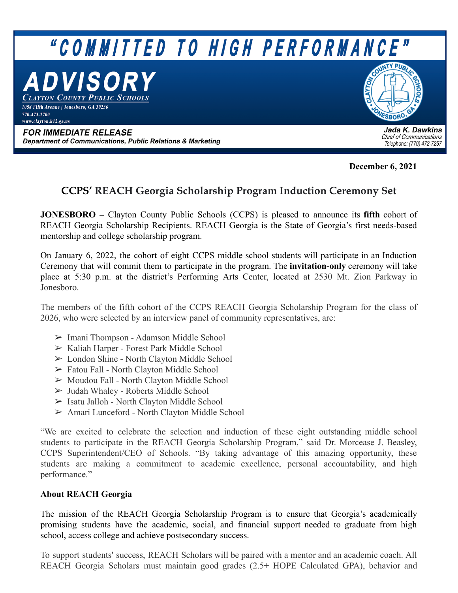

**December 6, 2021**

## **CCPS' REACH Georgia Scholarship Program Induction Ceremony Set**

**JONESBORO –** Clayton County Public Schools (CCPS) is pleased to announce its **fifth** cohort of REACH Georgia Scholarship Recipients. REACH Georgia is the State of Georgia's first needs-based mentorship and college scholarship program.

On January 6, 2022, the cohort of eight CCPS middle school students will participate in an Induction Ceremony that will commit them to participate in the program. The **invitation-only** ceremony will take place at 5:30 p.m. at the district's Performing Arts Center, located at 2530 Mt. Zion Parkway in Jonesboro.

The members of the fifth cohort of the CCPS REACH Georgia Scholarship Program for the class of 2026, who were selected by an interview panel of community representatives, are:

- ➢ Imani Thompson Adamson Middle School
- ➢ Kaliah Harper Forest Park Middle School
- ➢ London Shine North Clayton Middle School
- ➢ Fatou Fall North Clayton Middle School
- ➢ Moudou Fall North Clayton Middle School
- ➢ Judah Whaley Roberts Middle School
- ➢ Isatu Jalloh North Clayton Middle School
- ➢ Amari Lunceford North Clayton Middle School

"We are excited to celebrate the selection and induction of these eight outstanding middle school students to participate in the REACH Georgia Scholarship Program," said Dr. Morcease J. Beasley, CCPS Superintendent/CEO of Schools. "By taking advantage of this amazing opportunity, these students are making a commitment to academic excellence, personal accountability, and high performance."

## **About REACH Georgia**

The mission of the REACH Georgia Scholarship Program is to ensure that Georgia's academically promising students have the academic, social, and financial support needed to graduate from high school, access college and achieve postsecondary success.

To support students' success, REACH Scholars will be paired with a mentor and an academic coach. All REACH Georgia Scholars must maintain good grades (2.5+ HOPE Calculated GPA), behavior and